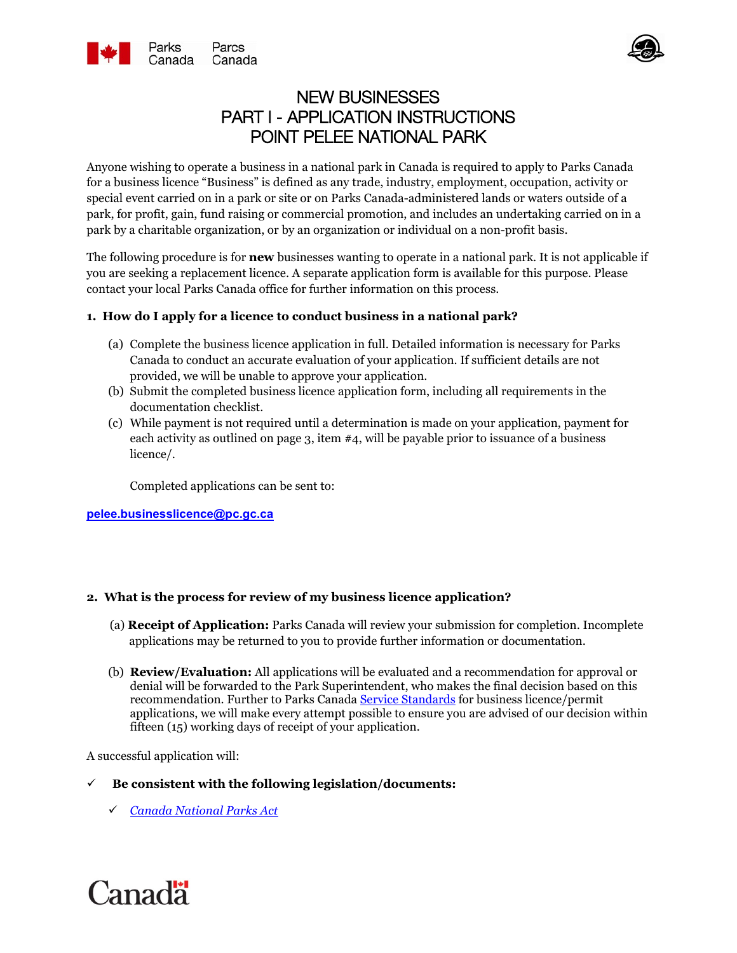



# NEW BUSINESSES PART I - APPLICATION INSTRUCTIONS POINT PELEE NATIONAL PARK

Anyone wishing to operate a business in a national park in Canada is required to apply to Parks Canada for a business licence "Business" is defined as any trade, industry, employment, occupation, activity or special event carried on in a park or site or on Parks Canada-administered lands or waters outside of a park, for profit, gain, fund raising or commercial promotion, and includes an undertaking carried on in a park by a charitable organization, or by an organization or individual on a non-profit basis.

The following procedure is for **new** businesses wanting to operate in a national park. It is not applicable if you are seeking a replacement licence. A separate application form is available for this purpose. Please contact your local Parks Canada office for further information on this process.

## **1. How do I apply for a licence to conduct business in a national park?**

- (a) Complete the business licence application in full. Detailed information is necessary for Parks Canada to conduct an accurate evaluation of your application. If sufficient details are not provided, we will be unable to approve your application.
- (b) Submit the completed business licence application form, including all requirements in the documentation checklist.
- (c) While payment is not required until a determination is made on your application, payment for each activity as outlined on page 3, item #4, will be payable prior to issuance of a business licence/.

Completed applications can be sent to:

**[pelee.businesslicence@pc.gc.ca](mailto:pelee.businesslicence@pc.gc.ca)**

### **2. What is the process for review of my business licence application?**

- (a) **Receipt of Application:** Parks Canada will review your submission for completion. Incomplete applications may be returned to you to provide further information or documentation.
- (b) **Review/Evaluation:** All applications will be evaluated and a recommendation for approval or denial will be forwarded to the Park Superintendent, who makes the final decision based on this recommendation. Further to Parks Canada [Service Standards](https://www.pc.gc.ca/en/agence-agency/dp-pd/ns-ss/ns-ss01) for business licence/permit applications, we will make every attempt possible to ensure you are advised of our decision within fifteen (15) working days of receipt of your application.

A successful application will:

### **Be consistent with the following legislation/documents:**

*[Canada National Parks Act](https://laws-lois.justice.gc.ca/eng/acts/N-14.01/index.html)*

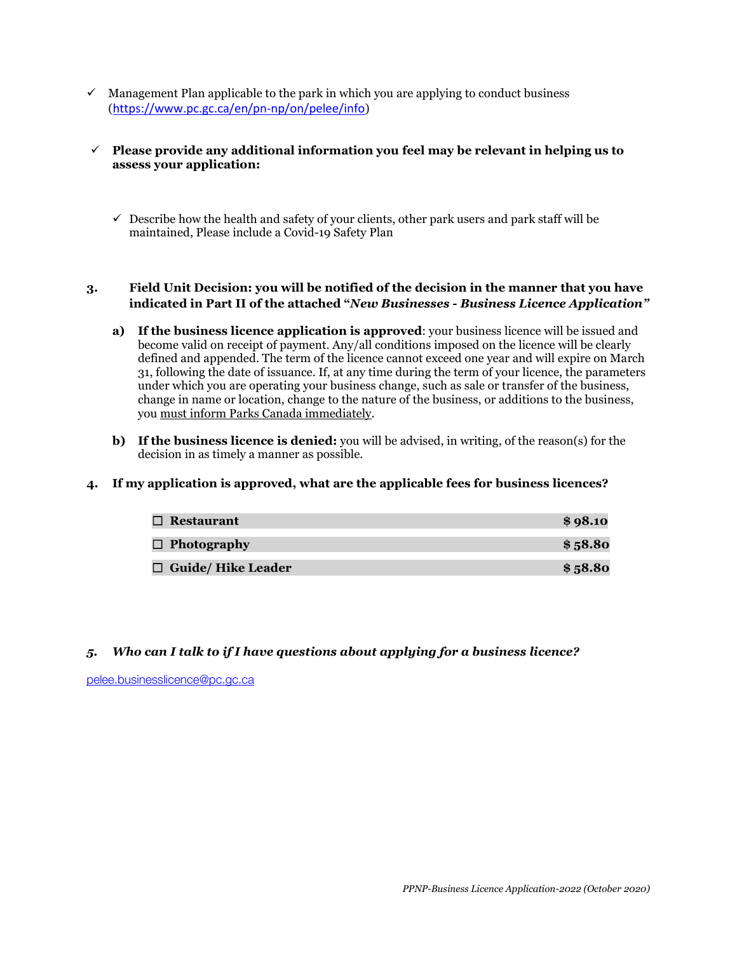$\checkmark$  Management Plan applicable to the park in which you are applying to conduct business (<https://www.pc.gc.ca/en/pn-np/on/pelee/info>)

### **Please provide any additional information you feel may be relevant in helping us to assess your application:**

 $\checkmark$  Describe how the health and safety of your clients, other park users and park staff will be maintained, Please include a Covid-19 Safety Plan

### **3. Field Unit Decision: you will be notified of the decision in the manner that you have indicated in Part II of the attached "***New Businesses - Business Licence Application"*

- **a) If the business licence application is approved**: your business licence will be issued and become valid on receipt of payment. Any/all conditions imposed on the licence will be clearly defined and appended. The term of the licence cannot exceed one year and will expire on March 31, following the date of issuance. If, at any time during the term of your licence, the parameters under which you are operating your business change, such as sale or transfer of the business, change in name or location, change to the nature of the business, or additions to the business, you must inform Parks Canada immediately.
- **b) If the business licence is denied:** you will be advised, in writing, of the reason(s) for the decision in as timely a manner as possible.

### **4. If my application is approved, what are the applicable fees for business licences?**

| $\Box$ Restaurant         | \$98.10 |
|---------------------------|---------|
| $\Box$ Photography        | \$58.80 |
| $\Box$ Guide/ Hike Leader | \$58.80 |

### *5. Who can I talk to if I have questions about applying for a business licence?*

[pelee.businesslicence@pc.gc.ca](mailto:pelee.businesslicence@pc.gc.ca)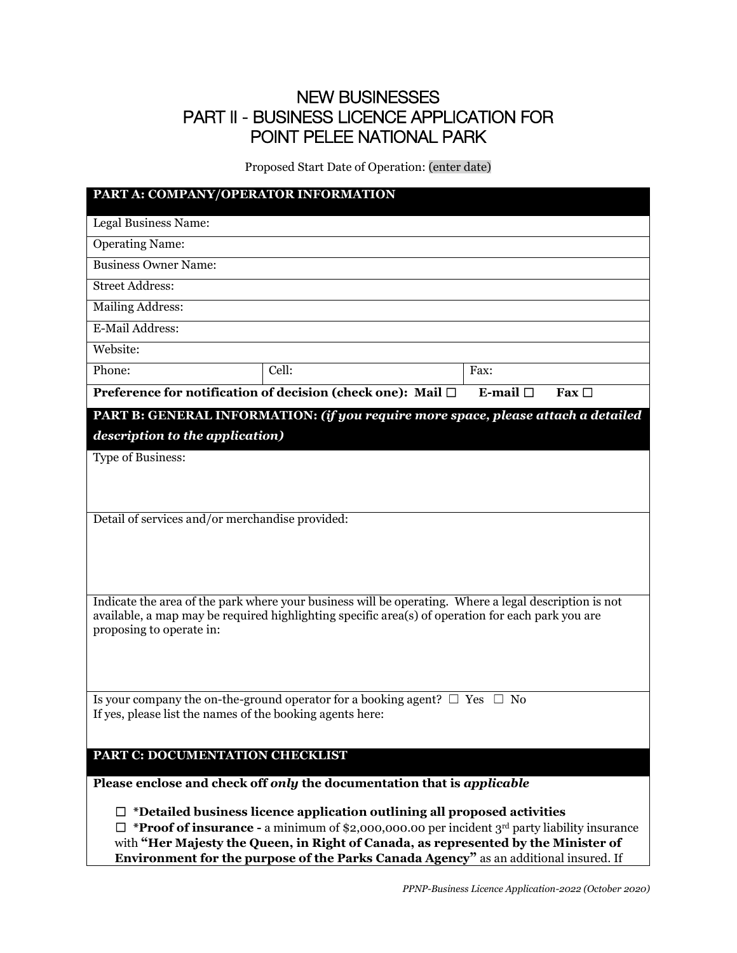# NEW BUSINESSES PART II - BUSINESS LICENCE APPLICATION FOR POINT PELEE NATIONAL PARK

Proposed Start Date of Operation: (enter date)

| PART A: COMPANY/OPERATOR INFORMATION                                                                                                                                                                       |                                                                                                                                                                                                            |                             |  |
|------------------------------------------------------------------------------------------------------------------------------------------------------------------------------------------------------------|------------------------------------------------------------------------------------------------------------------------------------------------------------------------------------------------------------|-----------------------------|--|
| Legal Business Name:                                                                                                                                                                                       |                                                                                                                                                                                                            |                             |  |
| <b>Operating Name:</b>                                                                                                                                                                                     |                                                                                                                                                                                                            |                             |  |
| <b>Business Owner Name:</b>                                                                                                                                                                                |                                                                                                                                                                                                            |                             |  |
| <b>Street Address:</b>                                                                                                                                                                                     |                                                                                                                                                                                                            |                             |  |
| <b>Mailing Address:</b>                                                                                                                                                                                    |                                                                                                                                                                                                            |                             |  |
| E-Mail Address:                                                                                                                                                                                            |                                                                                                                                                                                                            |                             |  |
| Website:                                                                                                                                                                                                   |                                                                                                                                                                                                            |                             |  |
| Phone:                                                                                                                                                                                                     | Cell:                                                                                                                                                                                                      | Fax:                        |  |
|                                                                                                                                                                                                            | Preference for notification of decision (check one): Mail □                                                                                                                                                | E-mail $\Box$<br>Fax $\Box$ |  |
|                                                                                                                                                                                                            | PART B: GENERAL INFORMATION: (if you require more space, please attach a detailed                                                                                                                          |                             |  |
| description to the application)                                                                                                                                                                            |                                                                                                                                                                                                            |                             |  |
| Type of Business:                                                                                                                                                                                          |                                                                                                                                                                                                            |                             |  |
|                                                                                                                                                                                                            |                                                                                                                                                                                                            |                             |  |
|                                                                                                                                                                                                            |                                                                                                                                                                                                            |                             |  |
| Detail of services and/or merchandise provided:                                                                                                                                                            |                                                                                                                                                                                                            |                             |  |
|                                                                                                                                                                                                            |                                                                                                                                                                                                            |                             |  |
|                                                                                                                                                                                                            |                                                                                                                                                                                                            |                             |  |
|                                                                                                                                                                                                            |                                                                                                                                                                                                            |                             |  |
|                                                                                                                                                                                                            | Indicate the area of the park where your business will be operating. Where a legal description is not<br>available, a map may be required highlighting specific area(s) of operation for each park you are |                             |  |
| proposing to operate in:                                                                                                                                                                                   |                                                                                                                                                                                                            |                             |  |
|                                                                                                                                                                                                            |                                                                                                                                                                                                            |                             |  |
|                                                                                                                                                                                                            |                                                                                                                                                                                                            |                             |  |
|                                                                                                                                                                                                            | Is your company the on-the-ground operator for a booking agent? $\Box$ Yes $\Box$ No                                                                                                                       |                             |  |
| If yes, please list the names of the booking agents here:                                                                                                                                                  |                                                                                                                                                                                                            |                             |  |
|                                                                                                                                                                                                            |                                                                                                                                                                                                            |                             |  |
| PART C: DOCUMENTATION CHECKLIST                                                                                                                                                                            |                                                                                                                                                                                                            |                             |  |
|                                                                                                                                                                                                            | Please enclose and check off only the documentation that is applicable                                                                                                                                     |                             |  |
|                                                                                                                                                                                                            |                                                                                                                                                                                                            |                             |  |
| $\Box$ *Detailed business licence application outlining all proposed activities<br>$\Box$ * <b>Proof of insurance</b> - a minimum of \$2,000,000.00 per incident 3 <sup>rd</sup> party liability insurance |                                                                                                                                                                                                            |                             |  |
| with "Her Majesty the Queen, in Right of Canada, as represented by the Minister of                                                                                                                         |                                                                                                                                                                                                            |                             |  |
|                                                                                                                                                                                                            | Environment for the purpose of the Parks Canada Agency" as an additional insured. If                                                                                                                       |                             |  |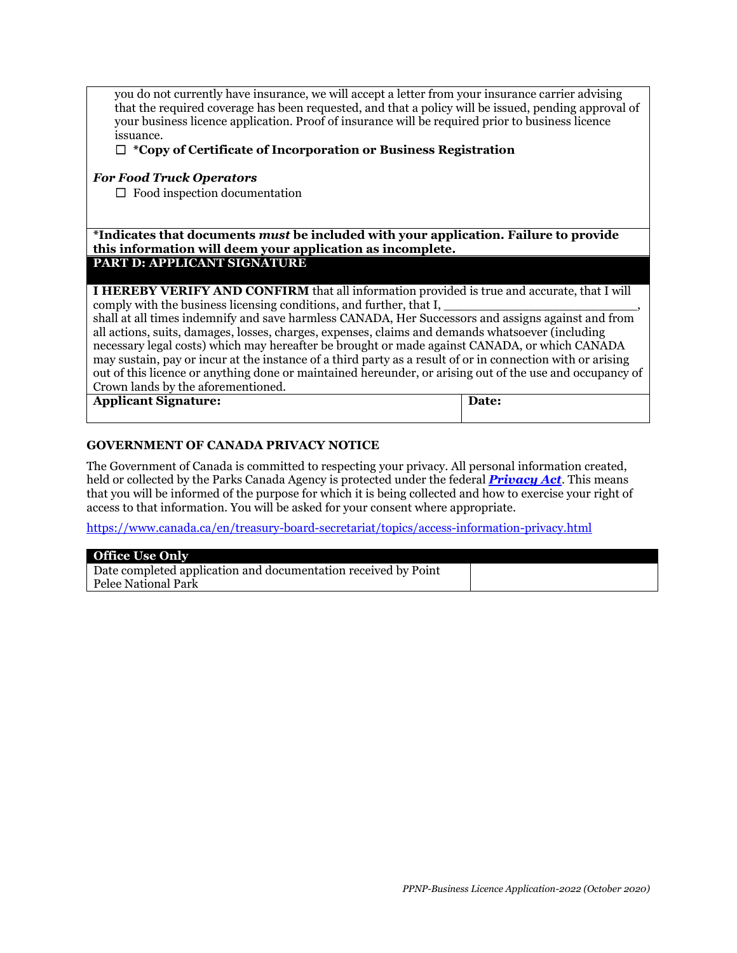you do not currently have insurance, we will accept a letter from your insurance carrier advising that the required coverage has been requested, and that a policy will be issued, pending approval of your business licence application. Proof of insurance will be required prior to business licence issuance.

#### ☐ **\*Copy of Certificate of Incorporation or Business Registration**

#### *For Food Truck Operators*

☐Food inspection documentation

**\*Indicates that documents** *must* **be included with your application. Failure to provide this information will deem your application as incomplete. PART D: APPLICANT SIGNATURE**

**I HEREBY VERIFY AND CONFIRM** that all information provided is true and accurate, that I will comply with the business licensing conditions, and further, that I,

shall at all times indemnify and save harmless CANADA, Her Successors and assigns against and from all actions, suits, damages, losses, charges, expenses, claims and demands whatsoever (including necessary legal costs) which may hereafter be brought or made against CANADA, or which CANADA may sustain, pay or incur at the instance of a third party as a result of or in connection with or arising out of this licence or anything done or maintained hereunder, or arising out of the use and occupancy of Crown lands by the aforementioned.

| <b>Applicant Signature:</b> | Date: |
|-----------------------------|-------|
|                             |       |

#### **GOVERNMENT OF CANADA PRIVACY NOTICE**

The Government of Canada is committed to respecting your privacy. All personal information created, held or collected by the Parks Canada Agency is protected under the federal *[Privacy Act](http://laws-lois.justice.gc.ca/eng/acts/P-21/index.html)*. This means that you will be informed of the purpose for which it is being collected and how to exercise your right of access to that information. You will be asked for your consent where appropriate.

<https://www.canada.ca/en/treasury-board-secretariat/topics/access-information-privacy.html>

| <b>Office Use Only</b>                                         |  |
|----------------------------------------------------------------|--|
| Date completed application and documentation received by Point |  |
| Pelee National Park                                            |  |